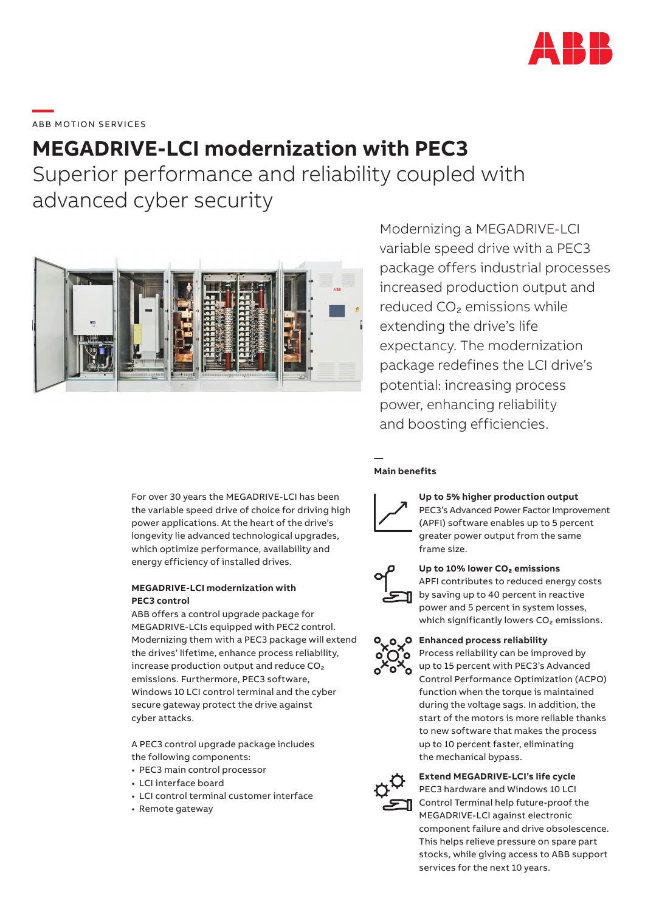

\_\_\_\_\_<br>ABB MOTION SERVICES

# **MEGADRIVE-LCI modernization with PEC3**

Superior performance and reliability coupled with advanced cyber security



Modernizing a MEGADRIVE-LCI variable speed drive with a PEC3 package offers industrial processes increased production output and reduced CO₂ emissions while extending the drive's life expectancy. The modernization package redefines the LCI drive's potential: increasing process power, enhancing reliability and boosting efficiencies.

For over 30 years the MEGADRIVE-LCI has been the variable speed drive of choice for driving high power applications. At the heart of the drive's longevity lie advanced technological upgrades,

energy efficiency of installed drives. **MEGADRIVE-LCI modernization with** 

which optimize performance, availability and

## **PEC3 control**

ABB offers a control upgrade package for MEGADRIVE-LCIs equipped with PEC2 control. Modernizing them with a PEC3 package will extend the drives' lifetime, enhance process reliability, increase production output and reduce CO₂ emissions. Furthermore, PEC3 software, Windows 10 LCI control terminal and the cyber secure gateway protect the drive against cyber attacks.

A PEC3 control upgrade package includes the following components:

- PEC3 main control processor
- LCI interface board
- LCI control terminal customer interface
- Remote gateway

#### **— Main benefits**



**Up to 5% higher production output** PEC3's Advanced Power Factor Improvement (APFI) software enables up to 5 percent greater power output from the same frame size.



## **Up to 10% lower CO₂ emissions**

APFI contributes to reduced energy costs by saving up to 40 percent in reactive power and 5 percent in system losses, which significantly lowers CO<sub>2</sub> emissions.

#### **Enhanced process reliability**

Process reliability can be improved by up to 15 percent with PEC3's Advanced Control Performance Optimization (ACPO) function when the torque is maintained during the voltage sags. In addition, the start of the motors is more reliable thanks to new software that makes the process up to 10 percent faster, eliminating the mechanical bypass.

### **Extend MEGADRIVE-LCI's life cycle**

PEC3 hardware and Windows 10 LCI Control Terminal help future-proof the MEGADRIVE-LCI against electronic component failure and drive obsolescence. This helps relieve pressure on spare part stocks, while giving access to ABB support services for the next 10 years.